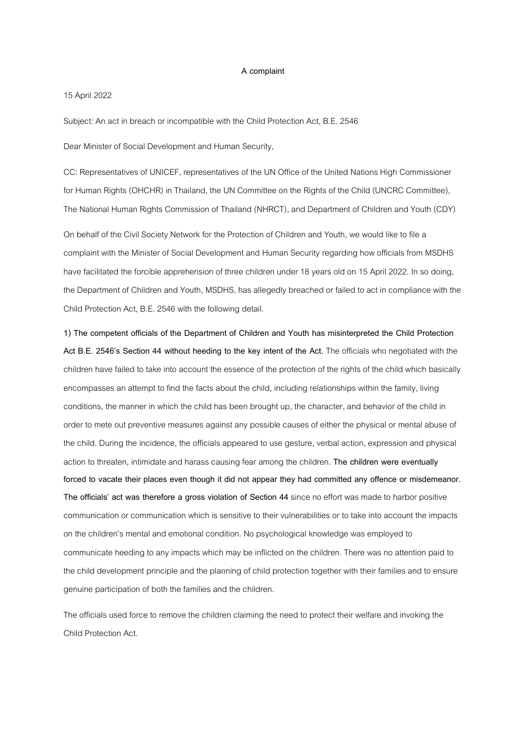## **A complaint**

## 15 April 2022

Subject: An act in breach or incompatible with the Child Protection Act, B.E. 2546

Dear Minister of Social Development and Human Security,

CC: Representatives of UNICEF, representatives of the UN Office of the United Nations High Commissioner for Human Rights (OHCHR) in Thailand, the UN Committee on the Rights of the Child (UNCRC Committee), The National Human Rights Commission of Thailand (NHRCT), and Department of Children and Youth (CDY)

On behalf of the Civil Society Network for the Protection of Children and Youth, we would like to file a complaint with the Minister of Social Development and Human Security regarding how officials from MSDHS have facilitated the forcible apprehension of three children under 18 years old on 15 April 2022. In so doing, the Department of Children and Youth, MSDHS, has allegedly breached or failed to act in compliance with the Child Protection Act, B.E. 2546 with the following detail.

**1) The competent officials of the Department of Children and Youth has misinterpreted the Child Protection Act B.E. 2546's Section 44 without heeding to the key intent of the Act.** The officials who negotiated with the children have failed to take into account the essence of the protection of the rights of the child which basically encompasses an attempt to find the facts about the child, including relationships within the family, living conditions, the manner in which the child has been brought up, the character, and behavior of the child in order to mete out preventive measures against any possible causes of either the physical or mental abuse of the child. During the incidence, the officials appeared to use gesture, verbal action, expression and physical action to threaten, intimidate and harass causing fear among the children. **The children were eventually forced to vacate their places even though it did not appear they had committed any offence or misdemeanor. The officials' act was therefore a gross violation of Section 44**since no effort was made to harbor positive communication or communication which is sensitive to their vulnerabilities or totake into account the impacts on the children's mental and emotional condition. No psychological knowledge was employed to communicate heeding to any impacts which may be inflicted on the children. There was no attention paid to the child development principle and the planning of child protection together with their families and to ensure genuine participation of both the families and the children.

The officials used force to remove the children claiming the need to protect their welfare and invoking the Child Protection Act.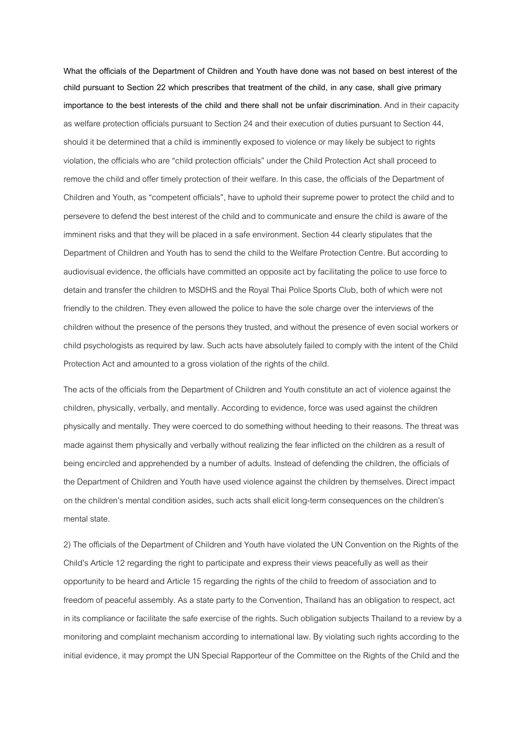**What the officials of the Department of Children and Youth have done was not based on best interest of the child pursuant to Section 22 which prescribes that treatment of the child, in any case, shall give primary importance to the best interests of the child and there shall not be unfair discrimination.** And in their capacity as welfare protection officials pursuant to Section 24 and their execution of duties pursuant to Section 44, should it be determined that a child is imminently exposed to violence or may likely be subject to rights violation, the officials who are "child protection officials" under the Child Protection Act shall proceed to remove the child and offer timely protection of their welfare. In this case, the officials of the Department of Children and Youth, as "competent officials", have to uphold their supreme power to protect the child and to persevere to defend the best interest of the child and to communicate and ensure the child is aware of the imminent risks and that they will be placed in a safe environment. Section 44 clearly stipulates that the Department of Children and Youth has to send the child to the Welfare Protection Centre. But according to audiovisual evidence, the officials have committed an opposite act by facilitating the police to use force to detain and transfer the children to MSDHS and the Royal Thai Police Sports Club, both of which were not friendly to the children. They even allowed the police to have the sole charge over the interviews of the children without the presence of the persons they trusted, and without the presence of even social workers or child psychologists as required by law. Such acts have absolutely failed to comply with the intent of the Child Protection Act and amounted to a gross violation of the rights of the child.

The acts of the officials from the Department of Children and Youth constitute an act of violence against the children, physically, verbally, and mentally. According to evidence, force was used against the children physically and mentally. They were coerced to do something without heeding to their reasons. The threat was made against them physically and verbally without realizing the fear inflicted on the children as a result of being encircled and apprehended by a number of adults. Instead of defending the children, the officials of the Department of Children and Youth have used violence against the children by themselves. Direct impact on the children's mental condition asides, such acts shall elicit long-term consequences on the children's mental state.

2) The officials of the Department of Children and Youth have violated the UN Convention on the Rights of the Child's Article 12 regarding the right to participate and express their views peacefully as well as their opportunity to be heard and Article 15regarding the rights of the child to freedom of association and to freedom of peaceful assembly. As a state party to the Convention, Thailand has anobligation to respect, act in its compliance or facilitate the safe exercise of the rights. Such obligation subjects Thailand to a review by a monitoring and complaint mechanism according to international law. By violating such rights according to the initial evidence, it may prompt the UN Special Rapporteur of the Committee on the Rights of the Child and the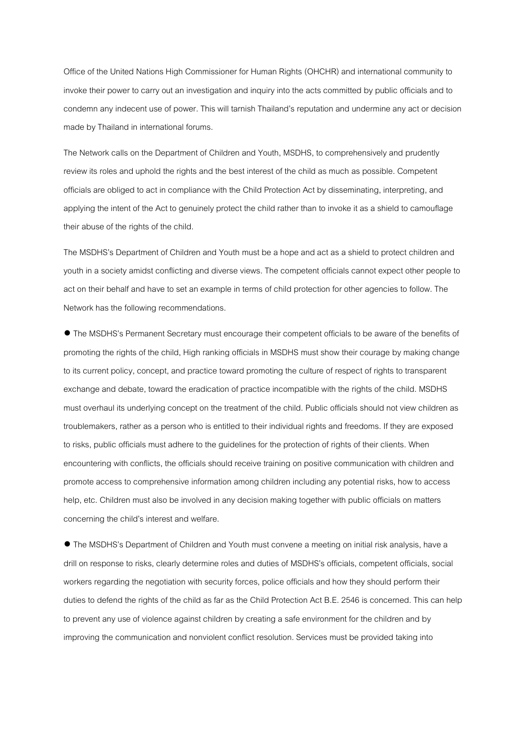Office of the United Nations High Commissioner for Human Rights (OHCHR) and international community to invoke their power to carry out an investigation and inquiry into the acts committed by public officials and to condemn any indecent use of power. This will tarnish Thailand's reputation and undermine any act or decision made by Thailand in international forums.

The Network calls on the Department of Children and Youth, MSDHS, to comprehensively and prudently review its roles and uphold the rights and the best interest of the child as much as possible. Competent officials are obliged to act in compliance with the Child Protection Act by disseminating, interpreting,and applying the intent of the Act to genuinely protect the child rather than to invoke it as a shield to camouflage their abuse of the rights of the child.

The MSDHS's Department of Children and Youth must be a hope and act as a shield to protect children and youth in a society amidst conflicting and diverse views. The competent officials cannot expect other people to act on their behalf and have to set an example in terms of child protection for other agencies to follow. The Network has the following recommendations.

● The MSDHS's Permanent Secretary must encourage their competent officials to be aware of the benefits of promoting the rights of the child, High ranking officials in MSDHS must show their courage by making change to its current policy, concept, and practice toward promoting the culture of respect of rights to transparent exchange and debate, toward the eradication of practice incompatible with the rights of the child. MSDHS must overhaul its underlying concept on the treatment of the child. Public officials should not view children as troublemakers, rather as a person who is entitled to their individual rights and freedoms. If they are exposed to risks, public officials must adhere to the guidelines for the protection of rights of their clients. When encountering with conflicts, the officials should receive training on positive communication with children and promote access to comprehensive information among children including any potential risks, how to access help, etc. Children must also be involved in any decision making together with public officials on matters concerning the child's interest and welfare.

● The MSDHS's Department of Children and Youth must convene a meeting on initial risk analysis, have a drill on response to risks, clearly determine roles and duties of MSDHS's officials, competent officials, social workers regarding the negotiation with security forces, police officials and how they should perform their duties to defend the rights of the child as far as the Child Protection Act B.E. 2546 is concerned. This can help to prevent any use of violence against children by creating a safe environment for the children and by improving the communication and nonviolent conflict resolution. Services must be provided taking into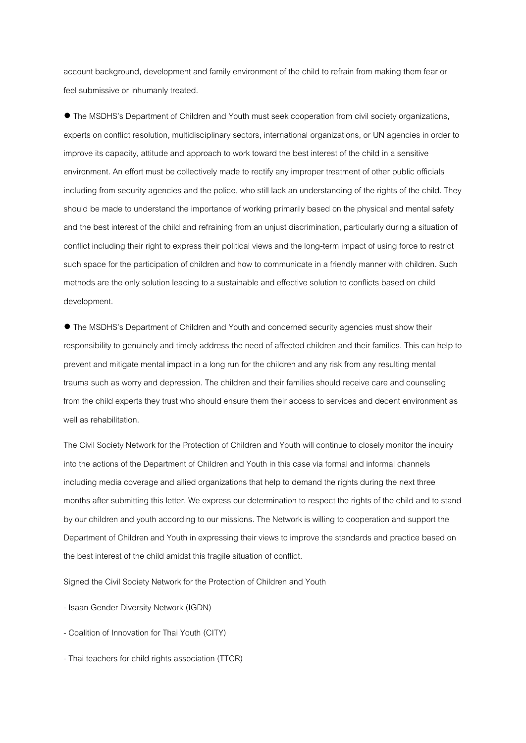account background, development and family environment of the child to refrain from making them fear or feel submissive or inhumanly treated.

● The MSDHS's Department of Children and Youth must seek cooperation from civil society organizations, experts on conflict resolution, multidisciplinary sectors, international organizations, or UN agencies in order to improve its capacity, attitude and approach to work toward the best interest of the child in a sensitive environment. An effort must be collectively made to rectify any improper treatment of other public officials including from security agencies and the police, who still lack an understanding of the rights of the child. They should be made to understand the importance of working primarily based on the physical and mental safety and the best interest of the child and refraining from an unjust discrimination, particularly during a situation of conflict including their right to express their political views and the long-term impact of using force to restrict such space for the participation of children and how to communicate in a friendly manner with children. Such methods are the only solution leading to a sustainable and effective solution to conflicts based on child development.

● The MSDHS's Department of Children and Youth and concerned security agencies must show their responsibility to genuinely and timely address the need of affected children and their families. This can help to prevent and mitigate mental impact in a long run for the children and any risk from any resulting mental trauma such as worry and depression. The children and their families should receive care and counseling from the child experts they trust who should ensure them their access to services and decent environment as well as rehabilitation.

The Civil Society Network for the Protection of Children and Youth will continue to closely monitor the inquiry into the actions of the Department of Children and Youth in this case via formal and informal channels including media coverage and allied organizations that help to demand the rights during the next three months after submitting this letter. We express our determination to respect the rights of the child and to stand by our children and youth according to our missions. The Network is willing to cooperation and support the Department of Children and Youth in expressing their views to improve the standards and practice based on the best interest of the child amidst this fragile situation of conflict.

Signed the Civil Society Network for the Protection of Children and Youth

- Isaan Gender Diversity Network (IGDN)

- Coalition of Innovation for Thai Youth (CITY)
- Thai teachers for child rights association (TTCR)